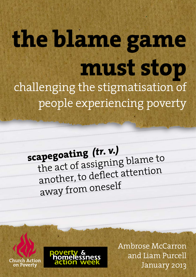# **the blame game must stop** challenging the stigmatisation of people experiencing poverty

**scapegoating** *(tr. v.)* the act of assigning blame to another, to deflect attention away from oneself

Ambrose McCarron and Liam Purcell January 2013

Church Action on Poverty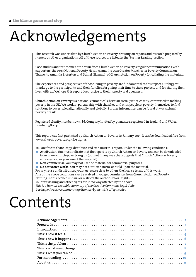# Acknowledgements

This research was undertaken by Church Action on Poverty, drawing on reports and research prepared by numerous other organisations. All of these sources are listed in the 'Further Reading' section.

Case studies and testimonies are drawn from Church Action on Poverty's regular communications with supporters, the 1999 National Poverty Hearing, and the 2012 Greater Manchester Poverty Commission. Thanks to Amanda Bickerton and Daniel Nkrumah of Church Action on Poverty for collating the materials.

The experiences and perspectives of those living in poverty are fundamental to this report. Our biggest thanks go to the participants, and their families, for giving their time to these projects and for sharing their lives with us. We hope this report does justice to their honesty and openness.

**Church Action on Poverty** is a national ecumenical Christian social justice charity, committed to tackling poverty in the UK. We work in partnership with churches and with people in poverty themselves to find solutions to poverty, locally, nationally and globally. Further information can be found at www.churchpoverty.org.uk.

Registered charity number 1079986. Company limited by guarantee, registered in England and Wales, number 3780243.

This report was first published by Church Action on Poverty in January 2013. It can be downloaded free from www.church-poverty.org.uk/stigma.

You are free to share (copy, distribute and transmit) this report, under the following conditions:

- **Attribution**. You must indicate that the report is by Church Action on Poverty and can be downloaded from www.church-poverty.org.uk (but not in any way that suggests that Church Action on Poverty endorses you or your use of the material).
- **Non-commercial.** You may not use the material for commercial purposes.

**No derivative works.** You may not alter, transform, or build upon the material.

For any reuse or distribution, you must make clear to others the license terms of this work.

Any of the above conditions can be waived if you get permission from Church Action on Poverty. Nothing in this licence impairs or restricts the author's moral rights.

Your fair dealing and other rights are in no way affected by the above.

*This is a human-readable summary of the Creative Commons Legal Code (see http://creativecommons.org/licenses/by-nc-nd/3.0/legalcode).*

## Contents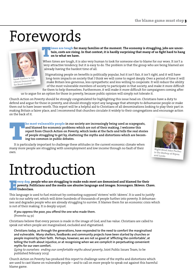## Forewords



**Sarah Teather is the Liberal Democrat MP for Brent Central**

**Times are tough** for many families at the moment. The economy is struggling, jobs are uncertain, costs are rising. In that context, it is hardly surprising that many of us fight hard to han on to what we have. **tain, costs are rising. In that context, it is hardly surprising that many of us fight hard to hang on to what we have.** 

When times are tough, it is also very human to look for someone else to blame for our woes. It isn't a very attractive tendency, but it is easy to do. The problem is that the group who are being blamed are already having the hardest time of all.

Stigmatising people on benefits is politically popular, but it isn't fair, it isn't right, and it will have long-term impacts on society that I think we will come to regret deeply. Over a period of time it will make Britain less generous, less sympathetic and less willing to cooperate. It will reduce the ability of the most vulnerable members of society to participate in that society, and make it more difficult for them to help themselves. Furthermore, it will make it more difficult for campaigners coming after

us to argue for an option for those in poverty, because public opinion will simply not tolerate it.

Church Action on Poverty should be strongly congratulated for highlighting this issue head on. Christians have a duty to defend and argue for those in poverty, and should strongly reject any language that attempts to dehumanise people or make them out to have lesser worth. This report will be a helpful aid to Christians of all denominations looking to play their part in making Britain a fairer place, and I recommend that churches circulate it widely to their congregations and encourage action on the back of it.

**The most vulnerable people** in our society are increasingly being used as scapegoats, and blamed for economic problems which are not of their making. I welcome this report from Church Action on Poverty, which looks at the **and blamed for economic problems which are not of their making. I welcome this report from Church Action on Poverty, which looks at the facts and tells the real stories of people struggling to get by, shattering the myths and distortions which are becoming too common in public debates.**

many more people are struggling with unemployment and low income through no fault of their own.



**is the Bishop of Ripon and Leeds**

## Introduction

**Every day,** people who are struggling to make ends meet are demonised and blamed for their<br>**Every poverty. Politicians and the media use abusive language and images. Scroungers. Skivers. Ch<br><b>Every day** in the formula of t **poverty. Politicians and the media use abusive language and images. Scroungers. Skivers. Chavs. Underclass.** 

This language is used to fuel mistrust by contrasting supposed 'strivers' with 'skivers'. It is used to justify cuts to our safety net, which will drive hundreds of thousands of people further into poverty. It dehumanises and degrades people who are already struggling to survive. It blames them for an economic crisis which is not of their making. It is deeply unjust.

**If you oppress the poor, you offend the one who made them.**  (Proverbs 14:31)

Christians believe that every person is made in the image of God, and has value. Christians are called to speak out when people are marginalised, excluded and stigmatised.

**Christians today, as through the generations, have responded to the need to comfort the marginalised and vulnerable. Many shelters, foodbanks and community projects have been started by churches or people inspired by their faith. Perhaps, however, we are not so good at 'afflicting the comfortable', at telling the truth about injustice, or at recognising when we are complicit in perpetuating convenient myths for our own comfort.** 

(*Lying to ourselves: ending our comfortable myths about poverty*, Joint Public Issues Team, to be published February 2013)

Church Action on Poverty has produced this report to challenge some of the myths and distortions which are used to cast blame on vulnerable people – and to call on more people to speak out against this harmful blame game.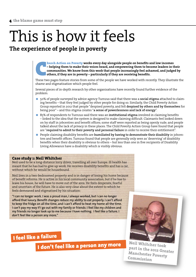## This is how it feels

### **The experience of people in poverty**

**Aurch Action on Poverty** works every day alongside people on benefits and low incomes – helping them to make their voices heard, and empowering them to become leaders in the communities. We know from this work that people **– helping them to make their voices heard, and empowering them to become leaders in their communities. We know from this work that people increasingly feel ashamed, and judged by others, if they are in poverty – particularly if they are receiving benefits.** 

These two pages feature stories from some of the people we have worked with recently. They illustrate the shame and stigmatisation which people feel.

Several pieces of in-depth research by other organisations have recently found further evidence of the problem:

- 50% of people surveyed by advice agency Turn2us said that there was a **social stigma** attached to claim ing benefits – that they feel judged by other people for doing so. Similarly, the Child Poverty Action Group reported in 2012 that people "despised poverty, and felt **despised by others and by themselves** for being poor" – and this stigma creates "**a sense of powerlessness and lack of energy**".
- 85% of respondents to Turn2us said there was an i**nstitutional stigma** involved in claiming benefits – linked to the idea that the system is designed to make claiming difficult. Claimants feel looked down on by staff in jobcentres and benefit offices; some staff were reported as being openly rude; and people talked about the lack of privacy in these places. The Child Poverty Action Group have found that people are "**required to admit to their poverty and personal failure** in order to receive their entitlement".
- People claiming disability benefits are **humiliated by having to demonstrate their disability** in jobcen tres and benefit offices. Turn2us found that people are generally only seen as 'deserving' of disability benefits when their disability is obvious to others – but less than one in five recipients of Disability Living Allowance have a disability which is visibly obvious.

#### **Case study 1: Neil Whitcher**

Neil used to be a long-distance lorry driver, travelling all over Europe. Ill health has meant that he has had to give up work. He receives disability benefits and has a car, without which he would be housebound.

Neil lives in a two-bedroomed property and is in danger of losing his home because of benefit reforms. He is active in his local community association, but if he has to leave his house, he will have to move out of the area. He feels desperate, fearful and uncertain of the future. He is also very clear about the extent to which he feels demeaned and stigmatised by his situation:

**"I can no longer work. I was a proud man, I always worked, but I can no longer afford that luxury. Benefit changes reduce my ability to eat properly. I can't afford to keep the fridge on all the time, and I can't afford to heat my home all the time. I can't pay my way if I go out with my family or friends: I feel like my children and my friends no longer look up to me because I have nothing. I feel like a failure. I don't feel like a person any more."**

### I feel like a failure

I don't feel like a person any more



**Neil Whitcher took part in the 2012 Greater Manchester Poverty Commission**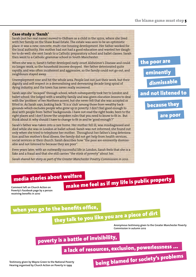#### **Case study 2: 'Sarah'**

Sarah (not her real name) moved to Oldham as a child in the 1970s, where she lived with her family on the Shaw Road Estate. The estate was seen to be an optimistic place: it was a new, concrete, multi-rise housing development. Her father worked for the local authority. Her mother had not had a good education and wanted her daughter to do well: she sent Sarah to a Catholic preparatory school and ballet classes. Sarah then went to a Catholic grammar school in South Manchester.

When she was 11, Sarah's father developed early-onset Alzheimer's Disease and could no longer work, so the household income dropped. Her father deteriorated quite rapidly, and was often incoherent and aggressive, so the family could not go out, and neighbours stayed away.

Unemployment rose and hit the whole area. People lost not just their work, but their dignity and self-respect in a demoralising and demeaning decade-long spiral of dying industry, and the town has never really recovered.

Sarah says she "escaped" through school, which subsequently took her to London and ballet school. She lodged with a wealthy family and was given elocution lessons to deal with the 'problem' of her Northern accent, but she never felt that she was accepted or fitted in. As Sarah says, looking back: "It is a 'club' among those from wealthy backgrounds which excludes people who grew up in poverty: I don't feel good enough to deal with people from 'better' backgrounds: I have not read the right books, been to the right places and I don't know the unspoken rules that you need to know to fit in. But think about it: why should I have to change to fit in and be 'good enough'?"

Sarah's father was taken into a care home. Her mother fell ill, was misdiagnosed and died while she was in London at ballet school: Sarah was not informed, she found out only when she tried to telephone her mother. Throughout her father's long deterioration and her mother's final illness, the family did not get help from health services, social services or their church: Sarah describes how "the poor are eminently dismissable and not listened to because they are poor".

Even years later, with an outwardly successful life in London, Sarah feels that she is a fake and a fraud and that she still carries "the stink of poverty" about her.

*Sarah shared her story as part of the Greater Manchester Povetry Commission in 2012.*

### the poor are eminently because they and not listened to dismissable

are poor

### media stories about welfare

**Comment left on Church Action on Poverty's Facebook page by a person receiving benefits in 2010**

## make me feel as if my life is public property

when you go to the benefits office,

they talk to you like you are a piece of dirt

**Anonymous testimony given to the Greater Manchester Poverty Commission in autumn 2012**

### poverty is a battle of invisibility,

a lack of resources, exclusion, powerlessness ... being blamed for society's problems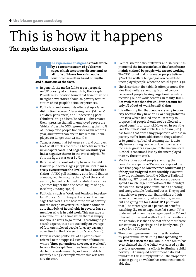### This is how it happens **The myths that cause stigma**

#### **Experience of stigma** is made worse<br>by a constant stream of public mes-<br>sages which encourage distrust and an<br>attitude of blame towards people on<br>low incomes – often based on myths<br>and distortions of the facts. **by a constant stream of public messages which encourage distrust and an attitude of blame towards people on low incomes – often based on myths and distortions of the facts.**

- In general, **the media fail to report properly on UK poverty at all**. Research by the Joseph Rowntree Foundation found that fewer than one in eight news stories about UK poverty feature stories about people's actual experiences.
- Politicians and journalists often set up a **false distinction** between 'deserving poor' ('strivers', children, pensioners) and 'undeserving poor' ('shirkers', drug addicts, 'hoodies'). This creates the impression that all unemployed people are 'shirkers', despite ONS figures showing that 70% of unemployed people find work again within a year, and fewer than one in five remain unemployed for longer than 24 months.
- Turn2us found that between 1995 and 2011, over 60% of all articles concerning benefits in tabloid newspapers **contained negative vocabulary or had a negative theme**. In the worst culprit, *The Sun*, the figure was over 80%.
- Because of the constant emphasis on benefit fraud in public messages, people in Britain **massively overestimate the level of fraud and false claims**. A TUC poll in January 2012 found that on average, people imagine that 27% of the social security budget is claimed fraudulently – almost 40 times higher than the actual figure of 0.7%. (See http://s.coop/19nje)
- **Politicians such as Work and Pensions Secretary** Iain Duncan Smith frequently repeat the message that "work is the best route out of poverty". But the Joseph Rowntree Foundation found in 2012 that **60% of households in poverty have a member who is in paid work**. This message is also unhelpful at a time when there is simply not enough work to go round – according to job search experts, there are currently an average of four unemployed people for every vacancy advertised in the UK (see http://s.coop/19njd).
- For years now, politicians of all parties have referred to the supposed existence of families where "**three generations have never worked"**. In 2012, the Joseph Rowntree Foundation conducted UK-wide research, and was unable to identify a single example where this was actually the case.
- **Political rhetoric about 'strivers' and 'shirkers' has** promoted **the inaccurate belief that benefits are mainly claimed by people who are not working**. The TUC found that on average, people believe 41% of the welfare budget goes on benefits to unemployed people, when the actual figure is 3%.
- Shock stories in the tabloids often promote the idea that welfare spending is out of control because of people having large families while receiving out-of-work benefits. In reality, **families with more than five children account for only 1% of out-of-work benefit claims**.  $\overline{\phantom{a}}$
- It is often implied that **people are only in poverty because they have drink or drug problems** – an idea which has led one MP recently to propose that people should not be allowed to spend benefits on alcohol. However, in 2013 the Free Churches' Joint Public Issues Team (JPIT) has found that only a tiny proportion of those in poverty suffer from addiction to drugs, alcohol or to gambling. Alcohol consumption is actually lower among people on low incomes, and increases greatly as you go up the income scale. Alcohol is consumed less by the unemployed than by those in work.  $\mathcal{L}_{\mathcal{A}}$
- **Media stories about people spending their** benefits on expensive TVs and cars spread the idea that **people on low incomes could manage if they just budgeted more sensibly**. However, drawing on figures from the Office of National Statistics, JPIT found that the poorest people spend a much larger proportion of their budget on essential fixed-price items, such as heating and energy, staple foods, and buses. They spend a much lower proportion than middle or high earners on recreation, culture, leisure, eating out and going out for a drink. JPIT point out that "The stereotype of a person on benefits watching Sky on an expensive flat-screen TV is undermined when the average spend on TV and internet for the least well-off tenth of families is considerably less than the cost of the most basic subscription TV package, and is barely enough to pay for a TV licence.'
- $\blacksquare$  The current government justifies its austerity programme by **claiming that spending on welfare has risen too far**. Iain Duncan Smith has even claimed that the deficit was caused by the previous government's efforts to eliminate child poverty. JPIT analysed government data and found that this is simply untrue – the proportion of taxes going on welfare has remained remarkably flat.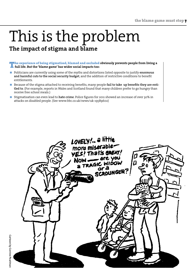### This is the problem **The impact of stigma and blame**

The experience of being stigmatised, blamed and excluded **obviously prevents people from living a full life. But the 'blame game' has wider social impacts too:**

- Politicians are currently using some of the myths and distortions listed opposite to justify **enormous and harmful cuts to the social security budget**, and the addition of restrictive conditions to benefit entitlements.
- Because of the stigma attached to receiving benefits, many people **fail to take up benefits they are enti tled to**. (For example, reports in Wales and Scotland found that many children prefer to go hungry than receive free school meals.)
- Stigmatisation can even lead to **hate crime**. Police figures for 2011 showed an increase of over 30% in attacks on disabled people. (See www.bbc.co.uk/news/uk-19589602)

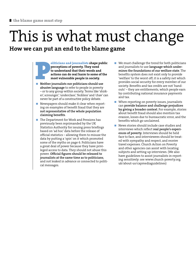# This is what must change

### **How we can put an end to the blame game**

**Politicians and journalists** shape public perceptions of poverty. They need to understand that their words and actions can do real harm to some of the most vulnerable people in society.<br>
Neither journalists nor politician **perceptions of poverty. They need to understand that their words and actions can do real harm to some of the most vulnerable people in society.**

- **abusive language** to refer to people in poverty – or to any group within society. Terms like 'shirker', scrounger', 'underclass', 'feckless' and 'chav' can never be part of a constructive policy debate.
- Newspapers should make it clear when reporting on examples of benefit fraud that they are **not representative of the whole population claiming benefits**.
- The Department for Work and Pensions has previously been reprimanded by the UK Statistics Authority for issuing press briefings based on 'ad hoc' data before the release of official statistics – allowing them to misuse the data by putting a 'spin' on it which promoted some of the myths on page 6. Politicians have a great deal of power because they have privileged access to data. They should not abuse this power. **Official figures should be released to journalists at the same time as to politicians**, and not leaked in advance or connected to political messages.
- We must challenge the trend for both politicians and journalists to use **language which undermines the foundations of our welfare state**. The benefits system does not exist only to provide 'welfare' to the worst off; it is a safety net which provides social security for every member of our society. Benefits and tax credits are not 'handouts' – they are entitlements, which people earn by contributing national insurance payments and tax.
- When reporting on poverty issues, journalists can **provide balance and challenge prejudices by giving a broader context**. For example, stories about benefit fraud should also mention tax evasion, losses due to bureaucratic error, and the benefits which go unclaimed.
- News stories should include case studies and interviews which reflect **real people's experiences of poverty.** Interviews should be held face to face, and interviewees should be treated with sympathy and respect, and receive travel expenses. Church Action on Poverty and other agencies can assist with locating subjects and setting up interviews. (We also have guidelines to assist journalists in reporting sensitively: see www.church-poverty.org. uk/about-us/capmediaguidelines)  $\mathcal{C}$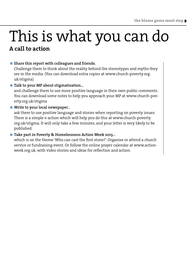### This is what you can do **A call to action**

#### **Share this report with colleagues and friends.**

Challenge them to think about the reality behind the stereotypes and myths they see in the media. (You can download extra copies at www.church-poverty.org. uk/stigma)

#### **Talk to your MP about stigmatisation.**

and challenge them to use more positive language in their own public comments. You can download some notes to help you approach your MP at www.church-poverty.org.uk/stigma

#### **Write to your local newspaper**...

ask them to use positive language and stories when reporting on poverty issues. There is a simple e-action which will help you do this at www.church-poverty. org.uk/stigma. It will only take a few minutes, and your letter is very likely to be published.

#### ■ Take part in Poverty & Homelessness Action Week 2013.

which is on the theme 'Who can cast the first stone?'. Organise or attend a church service or fundraising event. Or follow the online prayer calendar at www.actionweek.org.uk, with video stories and ideas for reflection and action.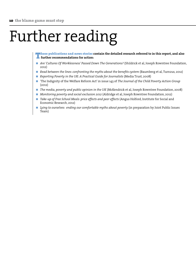## Further reading

These publications and news stories **contain the detailed research referred to in this report, and also further recommendations for action:**

- *Are 'Cultures Of Worklessness' Passed Down The Generations?* (Shildrick et al, Joseph Rowntree Foundation, 2012)
- *Read between the lines: confronting the myths about the benefits system* (Baumberg et al, Turn2us, 2012)
- *Reporting Poverty in the UK: A Practical Guide for Journalists* (Media Trust, 2008)
- 'The Indignity of the Welfare Reform Act' in issue 143 of *The Journal of the Child Poverty Action Group* (2012)
- *The media, poverty and public opinion in the UK* (McKendrick et al, Joseph Rowntree Foundation, 2008)
- *Monitoring poverty and social exclusion 2012* (Aldridge et al, Joseph Rowntree Foundation, 2012)
- *Take-up of Free School Meals: price effects and peer effects* (Angus Holford, Institute for Social and Economic Research, 2012)
- *Lying to ourselves: ending our comfortable myths about poverty* (in preparation by Joint Public Issues Team)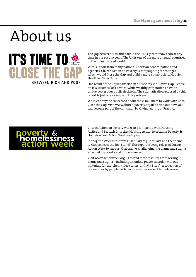## About us



The gap between rich and poor in the UK is greater now than at any time in the past 50 years. The UK is one of the most unequal countries in the industrialised world.

With support from many national Christian denominations and agencies, Church Action on Poverty is campaigning for changes which would Close the Gap and build a more equal society. Happier. Healthier. Safer. Fairer.

One result of the unjust division in our society is a 'Power Gap'. People on low incomes lack a voice, while wealthy corporations have an undue power over public decisions. The stigmatisation exposed by this report is just one example of this problem.

We invite anyone concerned about these injustices to work with us to Close the Gap. Visit www.church-poverty.org.uk to find out how you can become part of the campaign by Giving, Acting or Praying.



Church Action on Poverty works in partnership with Housing Justice and Scottish Churches Housing Action to organise Poverty & Homelessness Action Week each year.

In 2013, the Week runs from 26 January to 3 February, and the theme is 'Can you cast the first stone?' This report is being released during Action Week to support that theme, challenging the blame and stigma attached to poverty and homelessness.

Visit www.actionweek.org.uk to find more resources for tackling blame and stigma – including an online prayer calendar, worship materials for churches, video stories, and 'My Story' - a collection of testimonies by people with personal experience of homelessness.